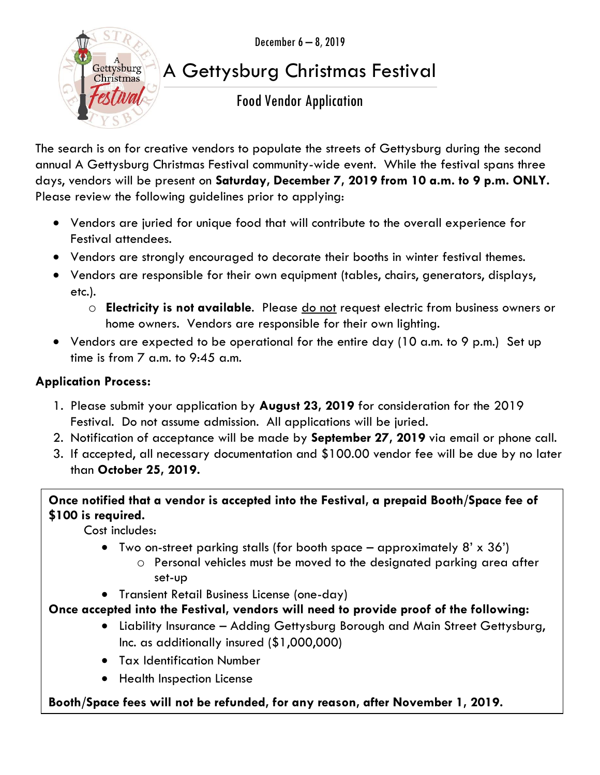December 6 – 8, 2019



## A Gettysburg Christmas Festival

### Food Vendor Application

The search is on for creative vendors to populate the streets of Gettysburg during the second annual A Gettysburg Christmas Festival community-wide event. While the festival spans three days, vendors will be present on **Saturday, December 7, 2019 from 10 a.m. to 9 p.m. ONLY.** Please review the following guidelines prior to applying:

- Vendors are juried for unique food that will contribute to the overall experience for Festival attendees.
- Vendors are strongly encouraged to decorate their booths in winter festival themes.
- Vendors are responsible for their own equipment (tables, chairs, generators, displays, etc.).
	- o **Electricity is not available**. Please do not request electric from business owners or home owners. Vendors are responsible for their own lighting.
- Vendors are expected to be operational for the entire day (10 a.m. to 9 p.m.) Set up time is from 7 a.m. to 9:45 a.m.

#### **Application Process:**

- 1. Please submit your application by **August 23, 2019** for consideration for the 2019 Festival. Do not assume admission. All applications will be juried.
- 2. Notification of acceptance will be made by **September 27, 2019** via email or phone call.
- 3. If accepted, all necessary documentation and \$100.00 vendor fee will be due by no later than **October 25, 2019.**

**Once notified that a vendor is accepted into the Festival, a prepaid Booth/Space fee of \$100 is required.** 

Cost includes:

- Two on-street parking stalls (for booth space  $-$  approximately  $8' \times 36'$ )
	- o Personal vehicles must be moved to the designated parking area after set-up
- Transient Retail Business License (one-day)

#### **Once accepted into the Festival, vendors will need to provide proof of the following:**

- Liability Insurance Adding Gettysburg Borough and Main Street Gettysburg, Inc. as additionally insured (\$1,000,000)
- Tax Identification Number
- **•** Health Inspection License

#### **Booth/Space fees will not be refunded, for any reason, after November 1, 2019.**